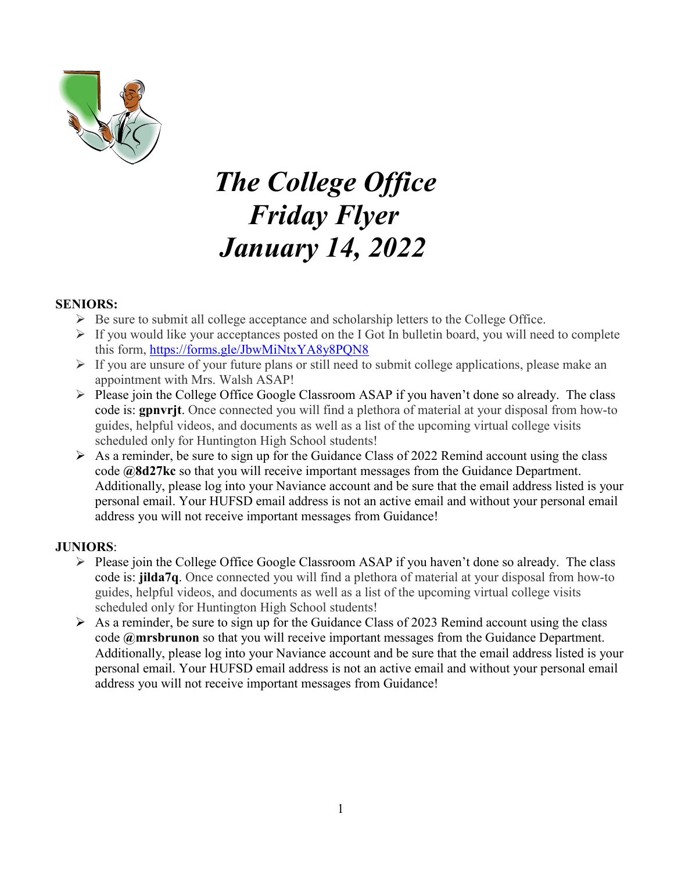

# *The College Office Friday Flyer January 14, 2022*

#### **SENIORS:**

- $\triangleright$  Be sure to submit all college acceptance and scholarship letters to the College Office.
- $\triangleright$  If you would like your acceptances posted on the I Got In bulletin board, you will need to complete this form,<https://forms.gle/JbwMiNtxYA8y8PQN8>
- $\triangleright$  If you are unsure of your future plans or still need to submit college applications, please make an appointment with Mrs. Walsh ASAP!
- $\triangleright$  Please join the College Office Google Classroom ASAP if you haven't done so already. The class code is: **gpnvrjt**. Once connected you will find a plethora of material at your disposal from how-to guides, helpful videos, and documents as well as a list of the upcoming virtual college visits scheduled only for Huntington High School students!
- $\triangleright$  As a reminder, be sure to sign up for the Guidance Class of 2022 Remind account using the class code **@8d27kc** so that you will receive important messages from the Guidance Department. Additionally, please log into your Naviance account and be sure that the email address listed is your personal email. Your HUFSD email address is not an active email and without your personal email address you will not receive important messages from Guidance!

#### **JUNIORS**:

- Please join the College Office Google Classroom ASAP if you haven't done so already. The class code is: **jilda7q**. Once connected you will find a plethora of material at your disposal from how-to guides, helpful videos, and documents as well as a list of the upcoming virtual college visits scheduled only for Huntington High School students!
- $\triangleright$  As a reminder, be sure to sign up for the Guidance Class of 2023 Remind account using the class code **@mrsbrunon** so that you will receive important messages from the Guidance Department. Additionally, please log into your Naviance account and be sure that the email address listed is your personal email. Your HUFSD email address is not an active email and without your personal email address you will not receive important messages from Guidance!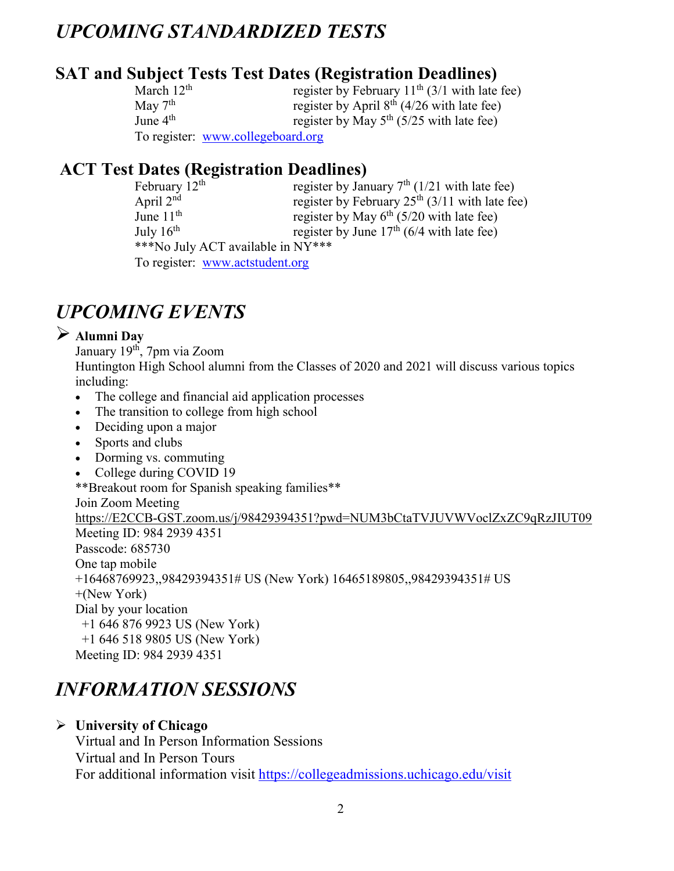# *UPCOMING STANDARDIZED TESTS*

# **SAT and Subject Tests Test Dates (Registration Deadlines)**

| March $12th$ | register by February $11th$ (3/1 with late fee) |
|--------------|-------------------------------------------------|
| May $7th$    | register by April $8th$ (4/26 with late fee)    |
| June $4th$   | register by May $5^{th}$ (5/25 with late fee)   |
|              | To register: www.collegeboard.org               |

# **ACT Test Dates (Registration Deadlines)**

| February $12th$                   | register by January $7th$ (1/21 with late fee)   |  |  |
|-----------------------------------|--------------------------------------------------|--|--|
| April $2nd$                       | register by February $25th$ (3/11 with late fee) |  |  |
| June $11th$                       | register by May $6^{th}$ (5/20 with late fee)    |  |  |
| July $16^{th}$                    | register by June $17th$ (6/4 with late fee)      |  |  |
| ***No July ACT available in NY*** |                                                  |  |  |
| To register: www.actstudent.org   |                                                  |  |  |

# *UPCOMING EVENTS*

# **Alumni Day**

January 19<sup>th</sup>, 7pm via Zoom Huntington High School alumni from the Classes of 2020 and 2021 will discuss various topics including:

- The college and financial aid application processes
- The transition to college from high school
- Deciding upon a major
- Sports and clubs
- Dorming vs. commuting
- College during COVID 19

\*\*Breakout room for Spanish speaking families\*\* Join Zoom Meeting [https://E2CCB-GST.zoom.us/j/98429394351?pwd=NUM3bCtaTVJUVWVoclZxZC9qRzJIUT09](https://e2ccb-gst.zoom.us/j/98429394351?pwd=NUM3bCtaTVJUVWVoclZxZC9qRzJIUT09) Meeting ID: 984 2939 4351 Passcode: 685730 One tap mobile +16468769923,,98429394351# US (New York) 16465189805,,98429394351# US +(New York) Dial by your location +1 646 876 9923 US (New York) +1 646 518 9805 US (New York) Meeting ID: 984 2939 4351

# *INFORMATION SESSIONS*

**University of Chicago**

Virtual and In Person Information Sessions Virtual and In Person Tours For additional information visit<https://collegeadmissions.uchicago.edu/visit>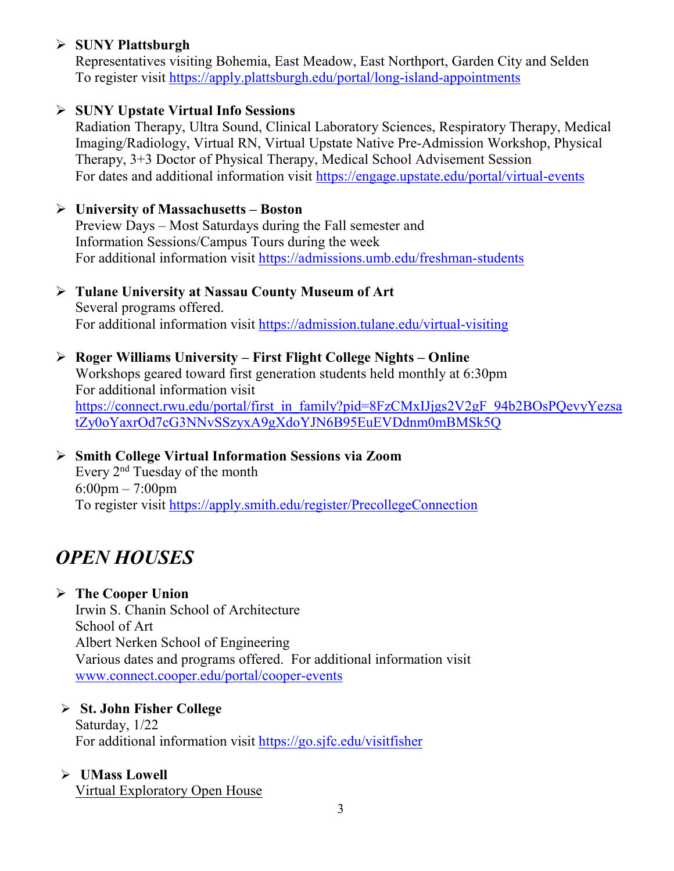# **SUNY Plattsburgh**

Representatives visiting Bohemia, East Meadow, East Northport, Garden City and Selden To register visit<https://apply.plattsburgh.edu/portal/long-island-appointments>

# **SUNY Upstate Virtual Info Sessions**

Radiation Therapy, Ultra Sound, Clinical Laboratory Sciences, Respiratory Therapy, Medical Imaging/Radiology, Virtual RN, Virtual Upstate Native Pre-Admission Workshop, Physical Therapy, 3+3 Doctor of Physical Therapy, Medical School Advisement Session For dates and additional information visit<https://engage.upstate.edu/portal/virtual-events>

#### **University of Massachusetts – Boston**

Preview Days – Most Saturdays during the Fall semester and Information Sessions/Campus Tours during the week For additional information visit<https://admissions.umb.edu/freshman-students>

#### **Tulane University at Nassau County Museum of Art** Several programs offered. For additional information visit<https://admission.tulane.edu/virtual-visiting>

# **Roger Williams University – First Flight College Nights – Online**

Workshops geared toward first generation students held monthly at 6:30pm For additional information visit https://connect.rwu.edu/portal/first\_in\_family?pid=8FzCMxIJjgs2V2gF\_94b2BOsPOevyYezsa [tZy0oYaxrOd7cG3NNvSSzyxA9gXdoYJN6B95EuEVDdnm0mBMSk5Q](https://connect.rwu.edu/portal/first_in_family?pid=8FzCMxIJjgs2V2gF_94b2BOsPQevyYezsatZy0oYaxrOd7cG3NNvSSzyxA9gXdoYJN6B95EuEVDdnm0mBMSk5Q)

#### **Smith College Virtual Information Sessions via Zoom** Every 2nd Tuesday of the month 6:00pm – 7:00pm To register visit<https://apply.smith.edu/register/PrecollegeConnection>

# *OPEN HOUSES*

# **The Cooper Union**

Irwin S. Chanin School of Architecture School of Art Albert Nerken School of Engineering Various dates and programs offered. For additional information visit [www.connect.cooper.edu/portal/cooper-events](http://www.connect.cooper.edu/portal/cooper-events)

# **St. John Fisher College**

Saturday, 1/22 For additional information visit<https://go.sjfc.edu/visitfisher>

#### **UMass Lowell**

Virtual Exploratory Open House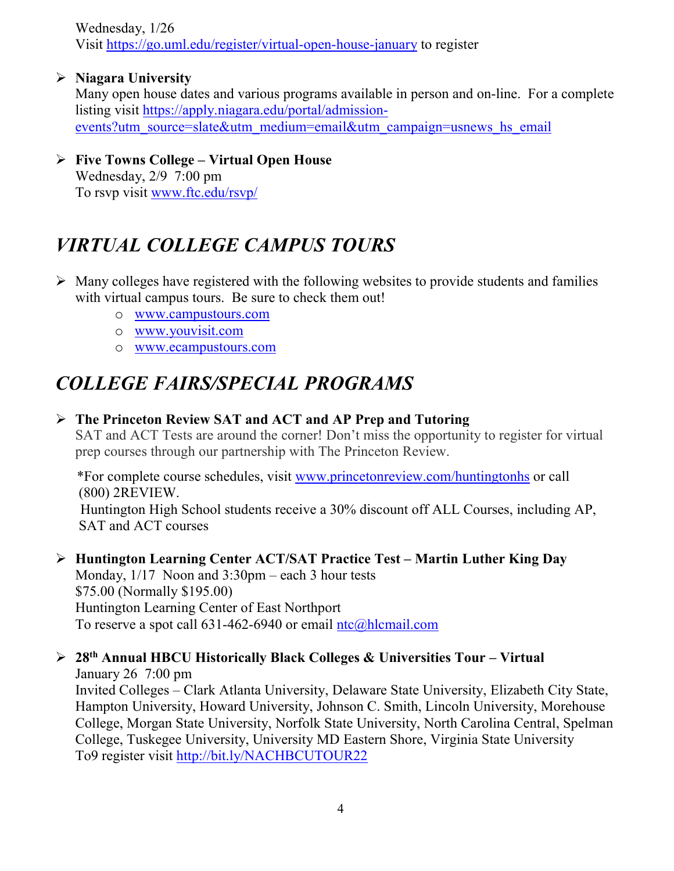Wednesday, 1/26 Visit<https://go.uml.edu/register/virtual-open-house-january> to register

**Niagara University**

Many open house dates and various programs available in person and on-line. For a complete listing visit [https://apply.niagara.edu/portal/admission](https://apply.niagara.edu/portal/admission-events?utm_source=slate&utm_medium=email&utm_campaign=usnews_hs_email)[events?utm\\_source=slate&utm\\_medium=email&utm\\_campaign=usnews\\_hs\\_email](https://apply.niagara.edu/portal/admission-events?utm_source=slate&utm_medium=email&utm_campaign=usnews_hs_email)

 **Five Towns College – Virtual Open House** Wednesday, 2/9 7:00 pm To rsvp visit [www.ftc.edu/rsvp/](http://www.ftc.edu/rsvp/)

# *VIRTUAL COLLEGE CAMPUS TOURS*

- $\triangleright$  Many colleges have registered with the following websites to provide students and families with virtual campus tours. Be sure to check them out!
	- o [www.campustours.com](http://www.campustours.com/)
	- o [www.youvisit.com](http://www.youvisit.com/)
	- o [www.ecampustours.com](http://www.ecampustours.com/)

# *COLLEGE FAIRS/SPECIAL PROGRAMS*

# **The Princeton Review SAT and ACT and AP Prep and Tutoring**

SAT and ACT Tests are around the corner! Don't miss the opportunity to register for virtual prep courses through our partnership with The Princeton Review.

 \*For complete course schedules, visit [www.princetonreview.com/huntingtonhs](http://www.princetonreview.com/huntingtonhs) or call (800) 2REVIEW.

 Huntington High School students receive a 30% discount off ALL Courses, including AP, SAT and ACT courses

#### **Huntington Learning Center ACT/SAT Practice Test – Martin Luther King Day** Monday, 1/17 Noon and 3:30pm – each 3 hour tests \$75.00 (Normally \$195.00)

Huntington Learning Center of East Northport To reserve a spot call  $631-462-6940$  or email  $ntc@hlcmail.com$ 

# **28th Annual HBCU Historically Black Colleges & Universities Tour – Virtual**

January 26 7:00 pm Invited Colleges – Clark Atlanta University, Delaware State University, Elizabeth City State, Hampton University, Howard University, Johnson C. Smith, Lincoln University, Morehouse College, Morgan State University, Norfolk State University, North Carolina Central, Spelman College, Tuskegee University, University MD Eastern Shore, Virginia State University To9 register visit<http://bit.ly/NACHBCUTOUR22>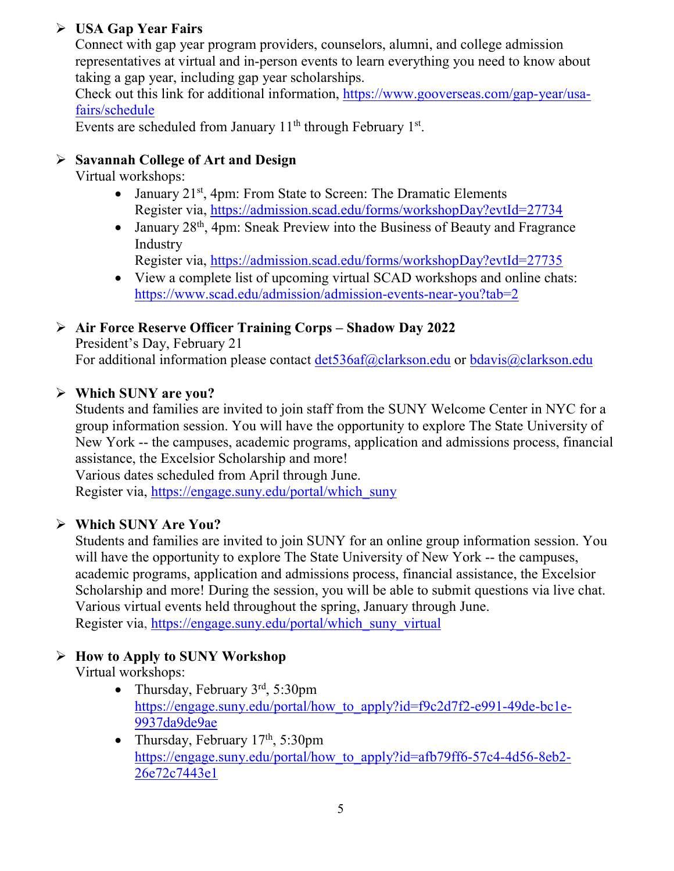# **USA Gap Year Fairs**

Connect with gap year program providers, counselors, alumni, and college admission representatives at virtual and in-person events to learn everything you need to know about taking a gap year, including gap year scholarships.

Check out this link for additional information, [https://www.gooverseas.com/gap-year/usa](https://www.gooverseas.com/gap-year/usa-fairs/schedule)[fairs/schedule](https://www.gooverseas.com/gap-year/usa-fairs/schedule)

Events are scheduled from January  $11<sup>th</sup>$  through February  $1<sup>st</sup>$ .

# **Savannah College of Art and Design**

Virtual workshops:

- January  $21^{st}$ , 4pm: From State to Screen: The Dramatic Elements Register via,<https://admission.scad.edu/forms/workshopDay?evtId=27734>
- January 28<sup>th</sup>, 4pm: Sneak Preview into the Business of Beauty and Fragrance Industry

Register via,<https://admission.scad.edu/forms/workshopDay?evtId=27735>

• View a complete list of upcoming virtual SCAD workshops and online chats: <https://www.scad.edu/admission/admission-events-near-you?tab=2>

# **Air Force Reserve Officer Training Corps – Shadow Day 2022**

President's Day, February 21

For additional information please contact [det536af@clarkson.edu](mailto:det536af@clarkson.edu) or [bdavis@clarkson.edu](mailto:bdavis@clarkson.edu)

# **Which SUNY are you?**

Students and families are invited to join staff from the SUNY Welcome Center in NYC for a group information session. You will have the opportunity to explore The State University of New York -- the campuses, academic programs, application and admissions process, financial assistance, the Excelsior Scholarship and more!

Various dates scheduled from April through June.

Register via, [https://engage.suny.edu/portal/which\\_suny](https://engage.suny.edu/portal/which_suny)

# **Which SUNY Are You?**

Students and families are invited to join SUNY for an online group information session. You will have the opportunity to explore The State University of New York -- the campuses, academic programs, application and admissions process, financial assistance, the Excelsior Scholarship and more! During the session, you will be able to submit questions via live chat. Various virtual events held throughout the spring, January through June. Register via, [https://engage.suny.edu/portal/which\\_suny\\_virtual](https://engage.suny.edu/portal/which_suny_virtual)

# **How to Apply to SUNY Workshop**

Virtual workshops:

- Thursday, February  $3<sup>rd</sup>$ , 5:30pm [https://engage.suny.edu/portal/how\\_to\\_apply?id=f9c2d7f2-e991-49de-bc1e-](https://engage.suny.edu/portal/how_to_apply?id=f9c2d7f2-e991-49de-bc1e-9937da9de9ae)[9937da9de9ae](https://engage.suny.edu/portal/how_to_apply?id=f9c2d7f2-e991-49de-bc1e-9937da9de9ae)
- Thursday, February  $17<sup>th</sup>$ , 5:30pm [https://engage.suny.edu/portal/how\\_to\\_apply?id=afb79ff6-57c4-4d56-8eb2-](https://engage.suny.edu/portal/how_to_apply?id=afb79ff6-57c4-4d56-8eb2-26e72c7443e1) [26e72c7443e1](https://engage.suny.edu/portal/how_to_apply?id=afb79ff6-57c4-4d56-8eb2-26e72c7443e1)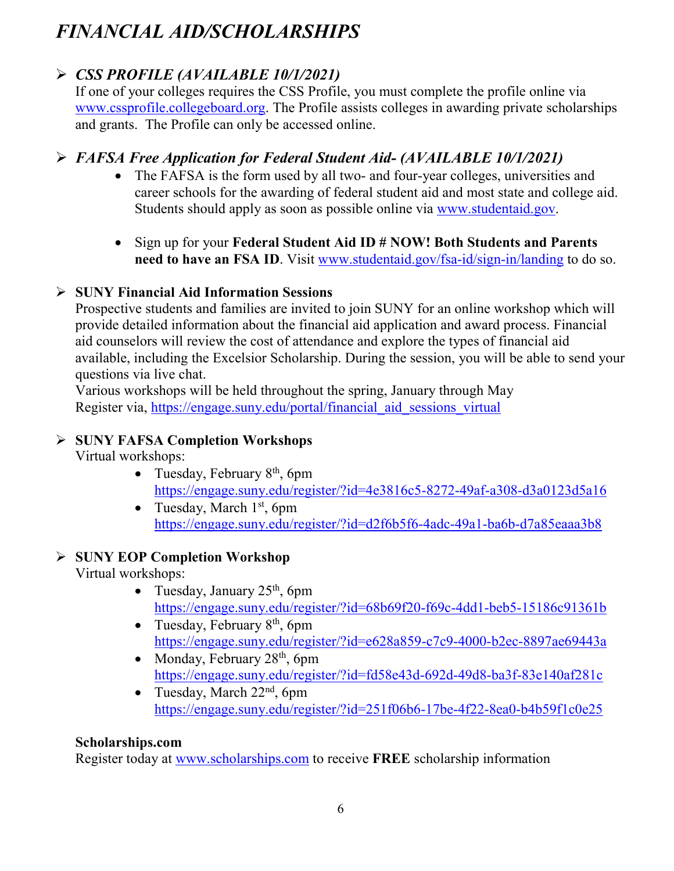# *FINANCIAL AID/SCHOLARSHIPS*

# *CSS PROFILE (AVAILABLE 10/1/2021)*

If one of your colleges requires the CSS Profile, you must complete the profile online via [www.cssprofile.collegeboard.org.](http://www.cssprofile.collegeboard.org/) The Profile assists colleges in awarding private scholarships and grants. The Profile can only be accessed online.

# *FAFSA Free Application for Federal Student Aid- (AVAILABLE 10/1/2021)*

- The FAFSA is the form used by all two- and four-year colleges, universities and career schools for the awarding of [federal student aid](http://studentaid.ed.gov/students/publications/student_guide/2010-2011/english/typesofFSA_grants.htm) and most state and college aid. Students should apply as soon as possible online via [www.studentaid.gov.](http://www.studentaid.gov/)
- Sign up for your **Federal Student Aid ID # NOW! Both Students and Parents need to have an FSA ID**. Visit [www.studentaid.gov/fsa-id/sign-in/landing](http://www.studentaid.gov/fsa-id/sign-in/landing) to do so.

# **SUNY Financial Aid Information Sessions**

Prospective students and families are invited to join SUNY for an online workshop which will provide detailed information about the financial aid application and award process. Financial aid counselors will review the cost of attendance and explore the types of financial aid available, including the Excelsior Scholarship. During the session, you will be able to send your questions via live chat.

Various workshops will be held throughout the spring, January through May Register via, https://engage.suny.edu/portal/financial aid sessions virtual

# **SUNY FAFSA Completion Workshops**

Virtual workshops:

- Tuesday, February  $8<sup>th</sup>$ , 6pm <https://engage.suny.edu/register/?id=4e3816c5-8272-49af-a308-d3a0123d5a16>
- Tuesday, March  $1<sup>st</sup>$ , 6pm <https://engage.suny.edu/register/?id=d2f6b5f6-4adc-49a1-ba6b-d7a85eaaa3b8>

# **SUNY EOP Completion Workshop**

Virtual workshops:

- Tuesday, January  $25<sup>th</sup>$ , 6pm <https://engage.suny.edu/register/?id=68b69f20-f69c-4dd1-beb5-15186c91361b>
- Tuesday, February  $8<sup>th</sup>$ , 6pm <https://engage.suny.edu/register/?id=e628a859-c7c9-4000-b2ec-8897ae69443a>
- Monday, February  $28<sup>th</sup>$ , 6pm <https://engage.suny.edu/register/?id=fd58e43d-692d-49d8-ba3f-83e140af281c>
- Tuesday, March  $22<sup>nd</sup>$ , 6pm <https://engage.suny.edu/register/?id=251f06b6-17be-4f22-8ea0-b4b59f1c0e25>

# **Scholarships.com**

Register today at [www.scholarships.com](http://www.scholarships.com/) to receive **FREE** scholarship information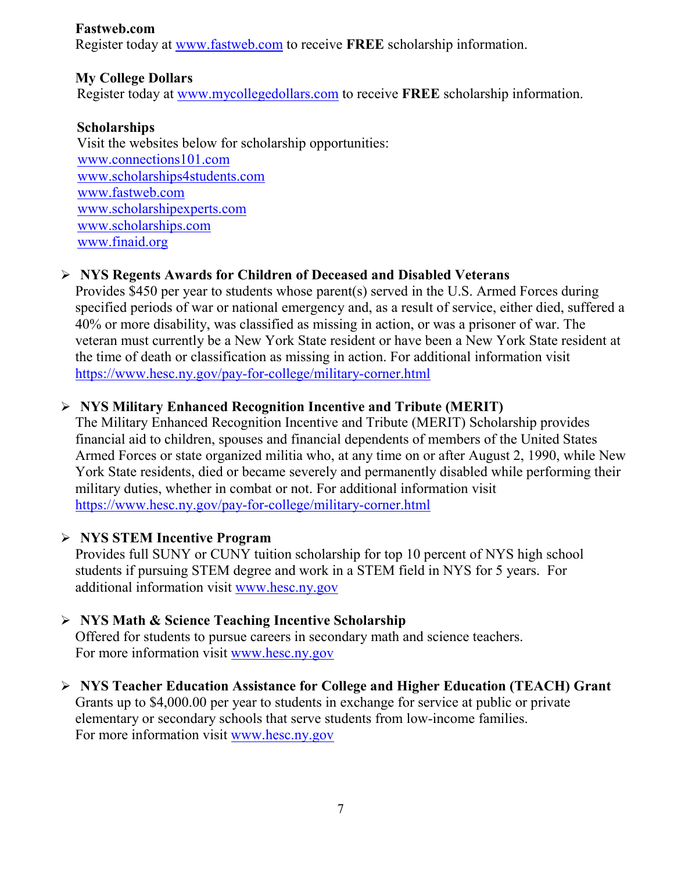#### **Fastweb.com**

Register today at [www.fastweb.com](http://www.fastweb.com/) to receive **FREE** scholarship information.

# **My College Dollars**

Register today at [www.mycollegedollars.com](http://www.mycollegedollars.com/) to receive **FREE** scholarship information.

# **Scholarships**

 Visit the websites below for scholarship opportunities: [www.connections101.com](http://www.connections101.com/) [www.scholarships4students.com](http://www.scholarships4students.com/) [www.fastweb.com](http://www.fastweb.com/) [www.scholarshipexperts.com](http://www.scholarshipexperts.com/) [www.scholarships.com](http://www.scholarships.com/) [www.finaid.org](http://www.finaid.org/)

# **NYS Regents Awards for Children of Deceased and Disabled Veterans**

Provides \$450 per year to students whose parent(s) served in the U.S. Armed Forces during specified periods of war or national emergency and, as a result of service, either died, suffered a 40% or more disability, was classified as missing in action, or was a prisoner of war. The veteran must currently be a New York State resident or have been a New York State resident at the time of death or classification as missing in action. For additional information visit <https://www.hesc.ny.gov/pay-for-college/military-corner.html>

# **NYS Military Enhanced Recognition Incentive and Tribute (MERIT)**

The Military Enhanced Recognition Incentive and Tribute (MERIT) Scholarship provides financial aid to children, spouses and financial dependents of members of the United States Armed Forces or state organized militia who, at any time on or after August 2, 1990, while New York State residents, died or became severely and permanently disabled while performing their military duties, whether in combat or not. For additional information visit <https://www.hesc.ny.gov/pay-for-college/military-corner.html>

# **NYS STEM Incentive Program**

Provides full SUNY or CUNY tuition scholarship for top 10 percent of NYS high school students if pursuing STEM degree and work in a STEM field in NYS for 5 years. For additional information visit [www.hesc.ny.gov](http://www.hesc.ny.gov/)

# **NYS Math & Science Teaching Incentive Scholarship**

Offered for students to pursue careers in secondary math and science teachers. For more information visit [www.hesc.ny.gov](http://www.hesc.ny.gov/)

 **NYS Teacher Education Assistance for College and Higher Education (TEACH) Grant** Grants up to \$4,000.00 per year to students in exchange for service at public or private elementary or secondary schools that serve students from low-income families. For more information visit [www.hesc.ny.gov](http://www.hesc.ny.gov/)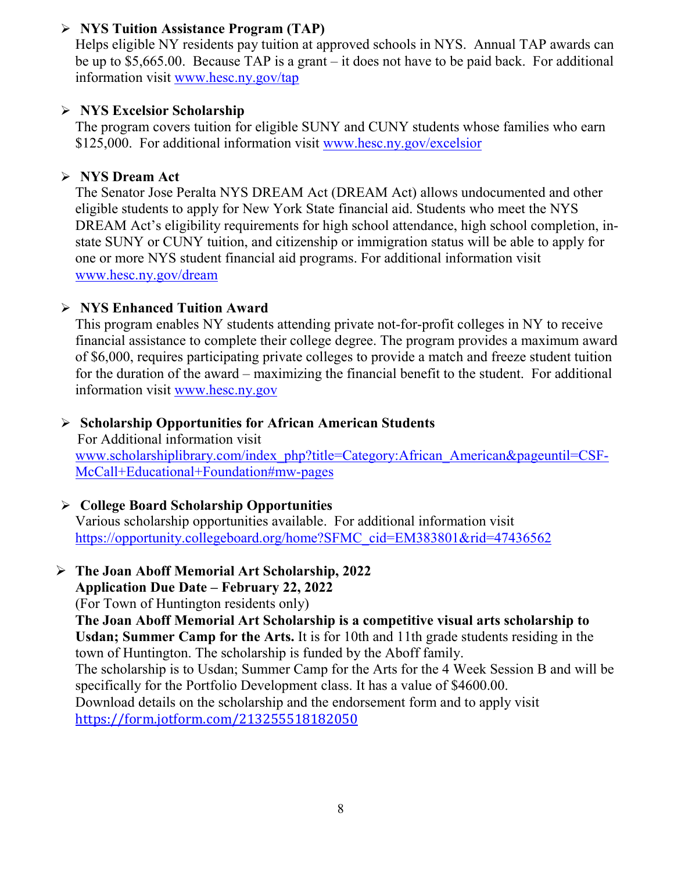# **NYS Tuition Assistance Program (TAP)**

Helps eligible NY residents pay tuition at approved schools in NYS. Annual TAP awards can be up to \$5,665.00. Because TAP is a grant – it does not have to be paid back. For additional information visit [www.hesc.ny.gov/tap](http://www.hesc.ny.gov/tap)

#### **NYS Excelsior Scholarship**

The program covers tuition for eligible SUNY and CUNY students whose families who earn \$125,000. For additional information visit [www.hesc.ny.gov/](http://www.hesc.ny.gov/)excelsior

#### **NYS Dream Act**

The Senator Jose Peralta NYS DREAM Act (DREAM Act) allows undocumented and other eligible students to apply for New York State financial aid. Students who meet the NYS DREAM Act's eligibility requirements for high school attendance, high school completion, instate SUNY or CUNY tuition, and citizenship or immigration status will be able to apply for one or more NYS student financial aid programs. For additional information visit [www.hesc.ny.gov/dream](http://www.hesc.ny.gov/dream)

#### **NYS Enhanced Tuition Award**

This program enables NY students attending private not-for-profit colleges in NY to receive financial assistance to complete their college degree. The program provides a maximum award of \$6,000, requires participating private colleges to provide a match and freeze student tuition for the duration of the award – maximizing the financial benefit to the student. For additional information visit [www.hesc.ny.gov](http://www.hesc.ny.gov/)

#### **Scholarship Opportunities for African American Students**

 For Additional information visit [www.scholarshiplibrary.com/index\\_php?title=Category:African\\_American&pageuntil=CSF-](http://www.scholarshiplibrary.com/index_php?title=Category:African_American&pageuntil=CSF-%20%20%20McCall+Educational+Foundation#mw-pages)[McCall+Educational+Foundation#mw-pages](http://www.scholarshiplibrary.com/index_php?title=Category:African_American&pageuntil=CSF-%20%20%20McCall+Educational+Foundation#mw-pages)

# **College Board Scholarship Opportunities**

Various scholarship opportunities available. For additional information visit [https://opportunity.collegeboard.org/home?SFMC\\_cid=EM383801&rid=47436562](https://opportunity.collegeboard.org/home?SFMC_cid=EM383801&rid=47436562)

# **The Joan Aboff Memorial Art Scholarship, 2022**

#### **Application Due Date – February 22, 2022**

(For Town of Huntington residents only)

**The Joan Aboff Memorial Art Scholarship is a competitive visual arts scholarship to Usdan; Summer Camp for the Arts.** It is for 10th and 11th grade students residing in the town of Huntington. The scholarship is funded by the Aboff family.

The scholarship is to Usdan; Summer Camp for the Arts for the 4 Week Session B and will be specifically for the Portfolio Development class. It has a value of \$4600.00.

Download details on the scholarship and the endorsement form and to apply visit <https://form.jotform.com/213255518182050>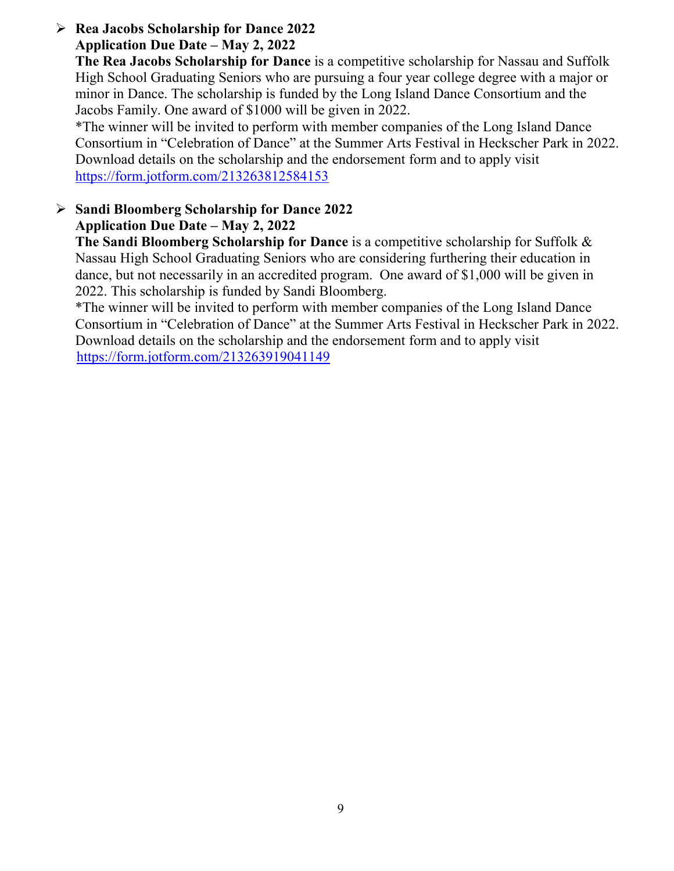#### **Rea Jacobs Scholarship for Dance 2022 Application Due Date – May 2, 2022**

**The Rea Jacobs Scholarship for Dance** is a competitive scholarship for Nassau and Suffolk High School Graduating Seniors who are pursuing a four year college degree with a major or minor in Dance. The scholarship is funded by the Long Island Dance Consortium and the Jacobs Family. One award of \$1000 will be given in 2022.

\*The winner will be invited to perform with member companies of the Long Island Dance Consortium in "Celebration of Dance" at the Summer Arts Festival in Heckscher Park in 2022. Download details on the scholarship and the endorsement form and to apply visit <https://form.jotform.com/213263812584153>

# **Sandi Bloomberg Scholarship for Dance 2022 Application Due Date – May 2, 2022**

**The Sandi Bloomberg Scholarship for Dance** is a competitive scholarship for Suffolk & Nassau High School Graduating Seniors who are considering furthering their education in dance, but not necessarily in an accredited program. One award of \$1,000 will be given in 2022. This scholarship is funded by Sandi Bloomberg.

\*The winner will be invited to perform with member companies of the Long Island Dance Consortium in "Celebration of Dance" at the Summer Arts Festival in Heckscher Park in 2022. Download details on the scholarship and the endorsement form and to apply visit <https://form.jotform.com/213263919041149>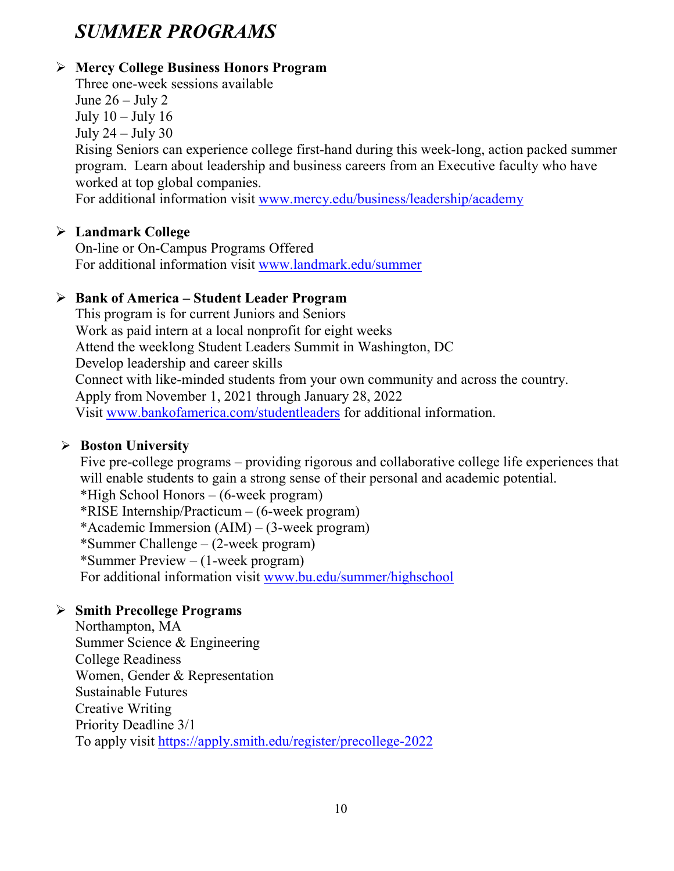# *SUMMER PROGRAMS*

# **Mercy College Business Honors Program**

Three one-week sessions available

June  $26 -$  July 2

July  $10 -$ July  $16$ 

July  $24 -$ July  $30$ 

Rising Seniors can experience college first-hand during this week-long, action packed summer program. Learn about leadership and business careers from an Executive faculty who have worked at top global companies.

For additional information visit [www.mercy.edu/business/leadership/academy](http://www.mercy.edu/business/leadership/academy)

# **Landmark College**

On-line or On-Campus Programs Offered For additional information visit [www.landmark.edu/summer](http://www.landmark.edu/summer)

# **Bank of America – Student Leader Program**

This program is for current Juniors and Seniors Work as paid intern at a local nonprofit for eight weeks Attend the weeklong Student Leaders Summit in Washington, DC Develop leadership and career skills Connect with like-minded students from your own community and across the country. Apply from November 1, 2021 through January 28, 2022 Visit [www.bankofamerica.com/studentleaders](http://www.bankofamerica.com/studentleaders) for additional information.

# **Boston University**

Five pre-college programs – providing rigorous and collaborative college life experiences that will enable students to gain a strong sense of their personal and academic potential. \*High School Honors – (6-week program) \*RISE Internship/Practicum – (6-week program) \*Academic Immersion (AIM) – (3-week program) \*Summer Challenge – (2-week program) \*Summer Preview – (1-week program) For additional information visit [www.bu.edu/summer/highschool](http://www.bu.edu/summer/highschool)

# **Smith Precollege Programs**

Northampton, MA Summer Science & Engineering College Readiness Women, Gender & Representation Sustainable Futures Creative Writing Priority Deadline 3/1 To apply visit<https://apply.smith.edu/register/precollege-2022>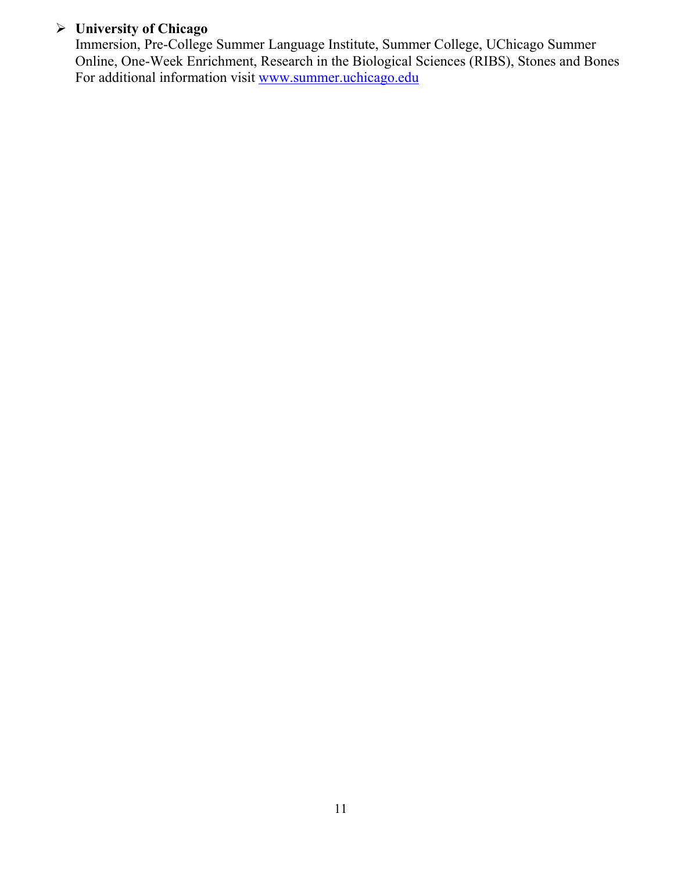# **University of Chicago**

Immersion, Pre-College Summer Language Institute, Summer College, UChicago Summer Online, One-Week Enrichment, Research in the Biological Sciences (RIBS), Stones and Bones For additional information visit [www.summer.uchicago.edu](http://www.summer.uchicago.edu/)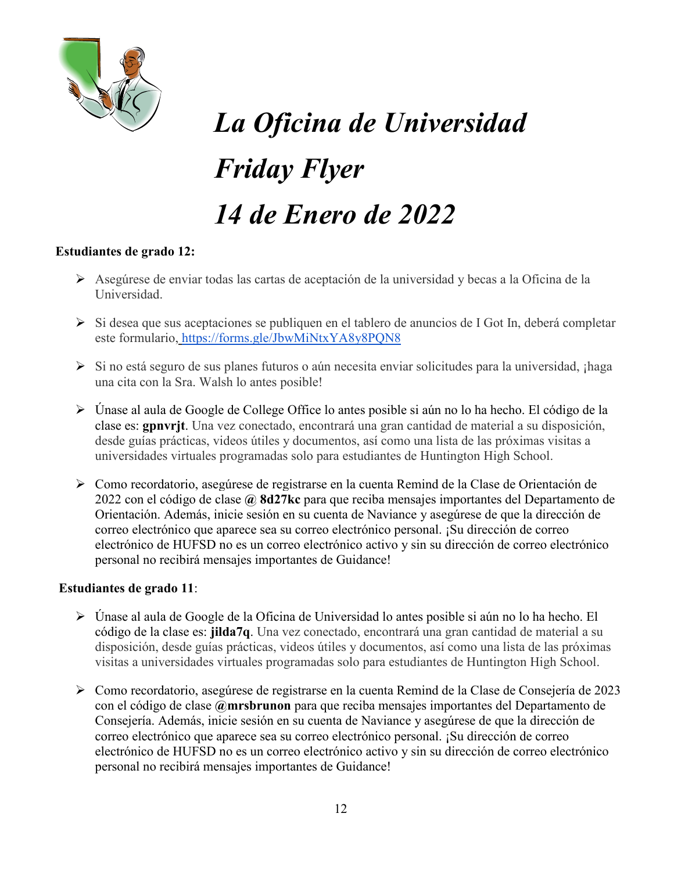

# *La Oficina de Universidad Friday Flyer 14 de Enero de 2022*

#### **Estudiantes de grado 12:**

- Asegúrese de enviar todas las cartas de aceptación de la universidad y becas a la Oficina de la Universidad.
- $\triangleright$  Si desea que sus aceptaciones se publiquen en el tablero de anuncios de I Got In, deberá completar este formulario, <https://forms.gle/JbwMiNtxYA8y8PQN8>
- ≻ Si no está seguro de sus planes futuros o aún necesita enviar solicitudes para la universidad, ¡haga una cita con la Sra. Walsh lo antes posible!
- Únase al aula de Google de College Office lo antes posible si aún no lo ha hecho. El código de la clase es: **gpnvrjt**. Una vez conectado, encontrará una gran cantidad de material a su disposición, desde guías prácticas, videos útiles y documentos, así como una lista de las próximas visitas a universidades virtuales programadas solo para estudiantes de Huntington High School.
- Como recordatorio, asegúrese de registrarse en la cuenta Remind de la Clase de Orientación de 2022 con el código de clase **@ 8d27kc** para que reciba mensajes importantes del Departamento de Orientación. Además, inicie sesión en su cuenta de Naviance y asegúrese de que la dirección de correo electrónico que aparece sea su correo electrónico personal. ¡Su dirección de correo electrónico de HUFSD no es un correo electrónico activo y sin su dirección de correo electrónico personal no recibirá mensajes importantes de Guidance!

#### **Estudiantes de grado 11**:

- Únase al aula de Google de la Oficina de Universidad lo antes posible si aún no lo ha hecho. El código de la clase es: **jilda7q**. Una vez conectado, encontrará una gran cantidad de material a su disposición, desde guías prácticas, videos útiles y documentos, así como una lista de las próximas visitas a universidades virtuales programadas solo para estudiantes de Huntington High School.
- Como recordatorio, asegúrese de registrarse en la cuenta Remind de la Clase de Consejería de 2023 con el código de clase **@mrsbrunon** para que reciba mensajes importantes del Departamento de Consejería. Además, inicie sesión en su cuenta de Naviance y asegúrese de que la dirección de correo electrónico que aparece sea su correo electrónico personal. ¡Su dirección de correo electrónico de HUFSD no es un correo electrónico activo y sin su dirección de correo electrónico personal no recibirá mensajes importantes de Guidance!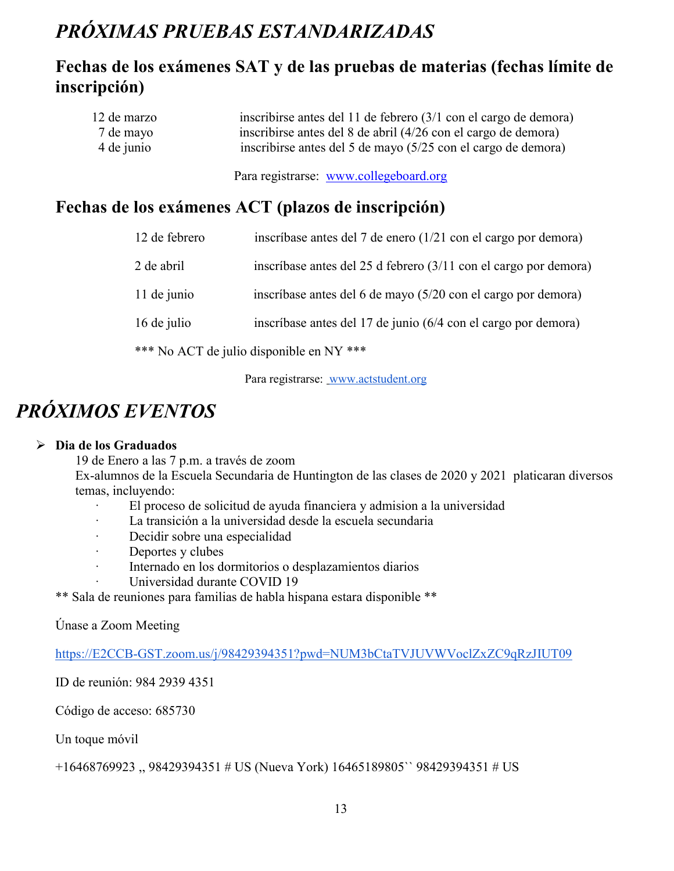# *PRÓXIMAS PRUEBAS ESTANDARIZADAS*

# **Fechas de los exámenes SAT y de las pruebas de materias (fechas límite de inscripción)**

| 12 de marzo | inscribirse antes del 11 de febrero (3/1 con el cargo de demora) |
|-------------|------------------------------------------------------------------|
| 7 de mayo   | inscribirse antes del 8 de abril (4/26 con el cargo de demora)   |
| 4 de junio  | inscribirse antes del 5 de mayo (5/25 con el cargo de demora)    |

Para registrarse: [www.collegeboard.org](http://www.collegeboard.org/)

# **Fechas de los exámenes ACT (plazos de inscripción)**

| 12 de febrero | inscríbase antes del 7 de enero (1/21 con el cargo por demora)             |
|---------------|----------------------------------------------------------------------------|
| 2 de abril    | inscríbase antes del 25 d febrero $(3/11 \text{ con el cargo por demora})$ |
| 11 de junio   | inscríbase antes del 6 de mayo (5/20 con el cargo por demora)              |
| 16 de julio   | inscríbase antes del 17 de junio (6/4 con el cargo por demora)             |
|               | *** No ACT de julio disponible en NY ***                                   |

Para registrarse: [www.actstudent.org](http://www.actstudent.org/)

# *PRÓXIMOS EVENTOS*

#### **Dia de los Graduados**

19 de Enero a las 7 p.m. a través de zoom

Ex-alumnos de la Escuela Secundaria de Huntington de las clases de 2020 y 2021 platicaran diversos temas, incluyendo:

- · El proceso de solicitud de ayuda financiera y admision a la universidad
- La transición a la universidad desde la escuela secundaria
- · Decidir sobre una especialidad
- · Deportes y clubes
- · Internado en los dormitorios o desplazamientos diarios
	- Universidad durante COVID 19

\*\* Sala de reuniones para familias de habla hispana estara disponible \*\*

Únase a Zoom Meeting

[https://E2CCB-GST.zoom.us/j/98429394351?pwd=NUM3bCtaTVJUVWVoclZxZC9qRzJIUT09](https://e2ccb-gst.zoom.us/j/98429394351?pwd=NUM3bCtaTVJUVWVoclZxZC9qRzJIUT09)

ID de reunión: 984 2939 4351

Código de acceso: 685730

Un toque móvil

+16468769923 ,, 98429394351 # US (Nueva York) 16465189805`` 98429394351 # US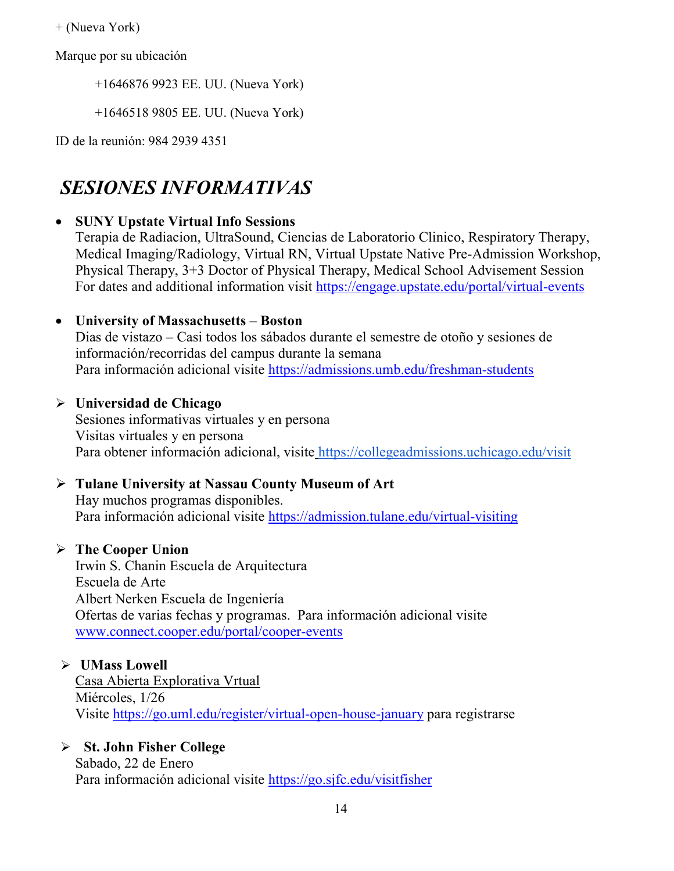+ (Nueva York)

Marque por su ubicación

+1646876 9923 EE. UU. (Nueva York)

+1646518 9805 EE. UU. (Nueva York)

ID de la reunión: 984 2939 4351

# *SESIONES INFORMATIVAS*

#### • **SUNY Upstate Virtual Info Sessions**

Terapia de Radiacion, UltraSound, Ciencias de Laboratorio Clinico, Respiratory Therapy, Medical Imaging/Radiology, Virtual RN, Virtual Upstate Native Pre-Admission Workshop, Physical Therapy, 3+3 Doctor of Physical Therapy, Medical School Advisement Session For dates and additional information visit<https://engage.upstate.edu/portal/virtual-events>

#### • **University of Massachusetts – Boston**

Dias de vistazo – Casi todos los sábados durante el semestre de otoño y sesiones de información/recorridas del campus durante la semana Para información adicional visite<https://admissions.umb.edu/freshman-students>

#### **Universidad de Chicago**

Sesiones informativas virtuales y en persona Visitas virtuales y en persona Para obtener información adicional, visite <https://collegeadmissions.uchicago.edu/visit>

# **Tulane University at Nassau County Museum of Art**

Hay muchos programas disponibles. Para información adicional visite <https://admission.tulane.edu/virtual-visiting>

# **The Cooper Union**

Irwin S. Chanin Escuela de Arquitectura Escuela de Arte Albert Nerken Escuela de Ingeniería Ofertas de varias fechas y programas. Para información adicional visite [www.connect.cooper.edu/portal/cooper-events](http://www.connect.cooper.edu/portal/cooper-events)

#### **UMass Lowell**

Casa Abierta Explorativa Vrtual Miércoles, 1/26 Visite<https://go.uml.edu/register/virtual-open-house-january> para registrarse

# **St. John Fisher College**

Sabado, 22 de Enero Para información adicional visite<https://go.sjfc.edu/visitfisher>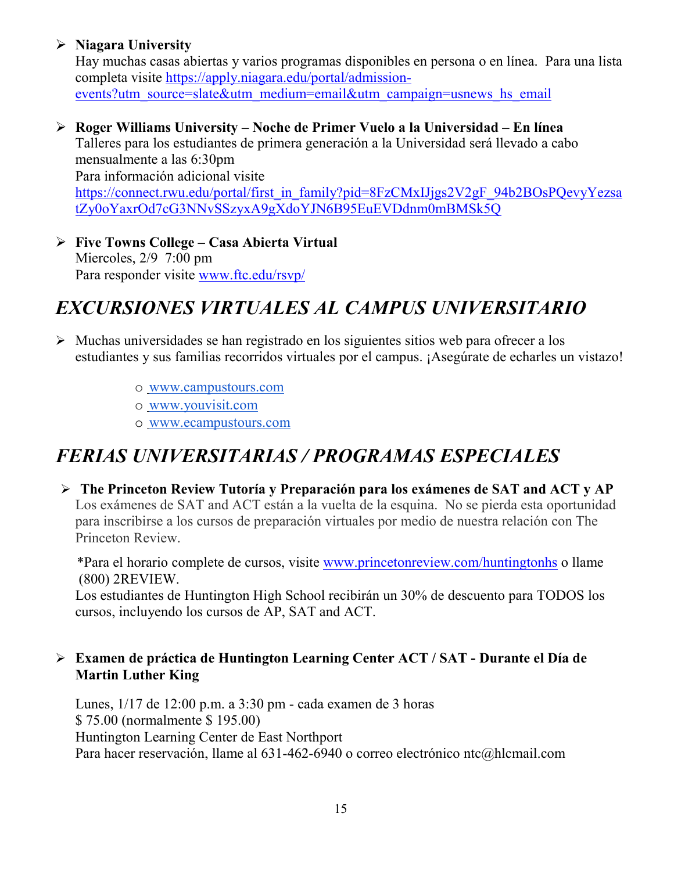# **Niagara University**

Hay muchas casas abiertas y varios programas disponibles en persona o en línea. Para una lista completa visite [https://apply.niagara.edu/portal/admission](https://apply.niagara.edu/portal/admission-events?utm_source=slate&utm_medium=email&utm_campaign=usnews_hs_email)[events?utm\\_source=slate&utm\\_medium=email&utm\\_campaign=usnews\\_hs\\_email](https://apply.niagara.edu/portal/admission-events?utm_source=slate&utm_medium=email&utm_campaign=usnews_hs_email)

 **Roger Williams University – Noche de Primer Vuelo a la Universidad – En línea** Talleres para los estudiantes de primera generación a la Universidad será llevado a cabo mensualmente a las 6:30pm Para información adicional visite [https://connect.rwu.edu/portal/first\\_in\\_family?pid=8FzCMxIJjgs2V2gF\\_94b2BOsPQevyYezsa](https://connect.rwu.edu/portal/first_in_family?pid=8FzCMxIJjgs2V2gF_94b2BOsPQevyYezsatZy0oYaxrOd7cG3NNvSSzyxA9gXdoYJN6B95EuEVDdnm0mBMSk5Q)

[tZy0oYaxrOd7cG3NNvSSzyxA9gXdoYJN6B95EuEVDdnm0mBMSk5Q](https://connect.rwu.edu/portal/first_in_family?pid=8FzCMxIJjgs2V2gF_94b2BOsPQevyYezsatZy0oYaxrOd7cG3NNvSSzyxA9gXdoYJN6B95EuEVDdnm0mBMSk5Q)

 **Five Towns College – Casa Abierta Virtual** Miercoles, 2/9 7:00 pm Para responder visite [www.ftc.edu/rsvp/](http://www.ftc.edu/rsvp/)

# *EXCURSIONES VIRTUALES AL CAMPUS UNIVERSITARIO*

- $\triangleright$  Muchas universidades se han registrado en los siguientes sitios web para ofrecer a los estudiantes y sus familias recorridos virtuales por el campus. ¡Asegúrate de echarles un vistazo!
	- o [www.campustours.com](http://www.campustours.com/)
	- o [www.youvisit.com](http://www.youvisit.com/)
	- o [www.ecampustours.com](http://www.ecampustours.com/)

# *FERIAS UNIVERSITARIAS / PROGRAMAS ESPECIALES*

 **The Princeton Review Tutoría y Preparación para los exámenes de SAT and ACT y AP**  Los exámenes de SAT and ACT están a la vuelta de la esquina. No se pierda esta oportunidad para inscribirse a los cursos de preparación virtuales por medio de nuestra relación con The Princeton Review.

 \*Para el horario complete de cursos, visite [www.princetonreview.com/huntingtonhs](http://www.princetonreview.com/huntingtonhs) o llame (800) 2REVIEW.

Los estudiantes de Huntington High School recibirán un 30% de descuento para TODOS los cursos, incluyendo los cursos de AP, SAT and ACT.

# **Examen de práctica de Huntington Learning Center ACT / SAT - Durante el Día de Martin Luther King**

Lunes, 1/17 de 12:00 p.m. a 3:30 pm - cada examen de 3 horas \$ 75.00 (normalmente \$ 195.00) Huntington Learning Center de East Northport Para hacer reservación, llame al 631-462-6940 o correo electrónico ntc@hlcmail.com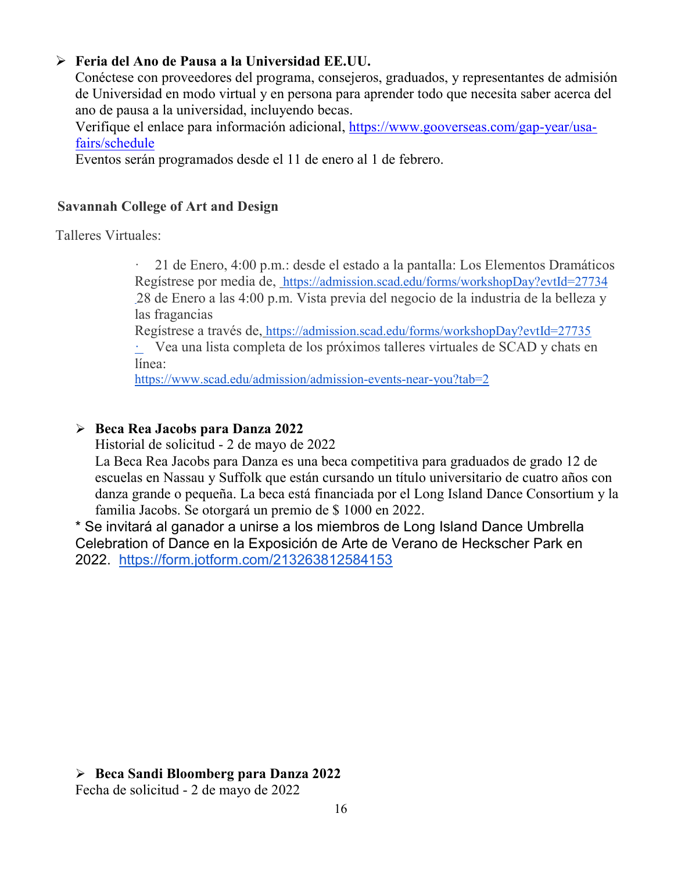# **Feria del Ano de Pausa a la Universidad EE.UU.**

Conéctese con proveedores del programa, consejeros, graduados, y representantes de admisión de Universidad en modo virtual y en persona para aprender todo que necesita saber acerca del ano de pausa a la universidad, incluyendo becas.

Verifique el enlace para información adicional, [https://www.gooverseas.com/gap-year/usa](https://www.gooverseas.com/gap-year/usa-fairs/schedule)[fairs/schedule](https://www.gooverseas.com/gap-year/usa-fairs/schedule)

Eventos serán programados desde el 11 de enero al 1 de febrero.

#### **Savannah College of Art and Design**

Talleres Virtuales:

· 21 de Enero, 4:00 p.m.: desde el estado a la pantalla: Los Elementos Dramáticos Regístrese por media de,<https://admission.scad.edu/forms/workshopDay?evtId=27734> 28 de Enero a las 4:00 p.m. Vista previa del negocio de la industria de la belleza y las fragancias

Regístrese a través de, <https://admission.scad.edu/forms/workshopDay?evtId=27735>

· Vea una lista completa de los próximos talleres virtuales de SCAD y chats en línea:

<https://www.scad.edu/admission/admission-events-near-you?tab=2>

#### **Beca Rea Jacobs para Danza 2022**

Historial de solicitud - 2 de mayo de 2022

La Beca Rea Jacobs para Danza es una beca competitiva para graduados de grado 12 de escuelas en Nassau y Suffolk que están cursando un título universitario de cuatro años con danza grande o pequeña. La beca está financiada por el Long Island Dance Consortium y la familia Jacobs. Se otorgará un premio de \$ 1000 en 2022.

\* Se invitará al ganador a unirse a los miembros de Long Island Dance Umbrella Celebration of Dance en la Exposición de Arte de Verano de Heckscher Park en 2022. <https://form.jotform.com/213263812584153>

#### **Beca Sandi Bloomberg para Danza 2022**

Fecha de solicitud - 2 de mayo de 2022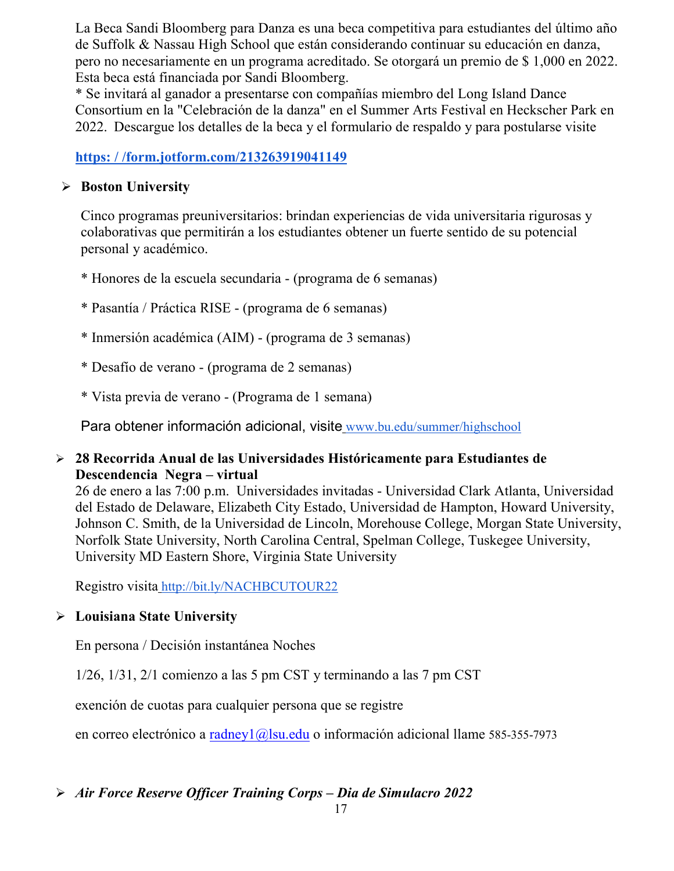La Beca Sandi Bloomberg para Danza es una beca competitiva para estudiantes del último año de Suffolk & Nassau High School que están considerando continuar su educación en danza, pero no necesariamente en un programa acreditado. Se otorgará un premio de \$ 1,000 en 2022. Esta beca está financiada por Sandi Bloomberg.

\* Se invitará al ganador a presentarse con compañías miembro del Long Island Dance Consortium en la "Celebración de la danza" en el Summer Arts Festival en Heckscher Park en 2022. Descargue los detalles de la beca y el formulario de respaldo y para postularse visite

# **[https: / /form.jotform.com/213263919041149](https://form.jotform.com/213263919041149)**

# **Boston University**

Cinco programas preuniversitarios: brindan experiencias de vida universitaria rigurosas y colaborativas que permitirán a los estudiantes obtener un fuerte sentido de su potencial personal y académico.

- \* Honores de la escuela secundaria (programa de 6 semanas)
- \* Pasantía / Práctica RISE (programa de 6 semanas)
- \* Inmersión académica (AIM) (programa de 3 semanas)
- \* Desafío de verano (programa de 2 semanas)
- \* Vista previa de verano (Programa de 1 semana)

Para obtener información adicional, visite [www.bu.edu/summer/highschool](http://www.bu.edu/summer/highschool)

# **28 Recorrida Anual de las Universidades Históricamente para Estudiantes de Descendencia Negra – virtual**

26 de enero a las 7:00 p.m. Universidades invitadas - Universidad Clark Atlanta, Universidad del Estado de Delaware, Elizabeth City Estado, Universidad de Hampton, Howard University, Johnson C. Smith, de la Universidad de Lincoln, Morehouse College, Morgan State University, Norfolk State University, North Carolina Central, Spelman College, Tuskegee University, University MD Eastern Shore, Virginia State University

Registro visita <http://bit.ly/NACHBCUTOUR22>

# **Louisiana State University**

En persona / Decisión instantánea Noches

1/26, 1/31, 2/1 comienzo a las 5 pm CST y terminando a las 7 pm CST

exención de cuotas para cualquier persona que se registre

en correo electrónico a radney $1$  ( $\alpha$ ) su edu o información adicional llame 585-355-7973

# *Air Force Reserve Officer Training Corps – Dia de Simulacro 2022*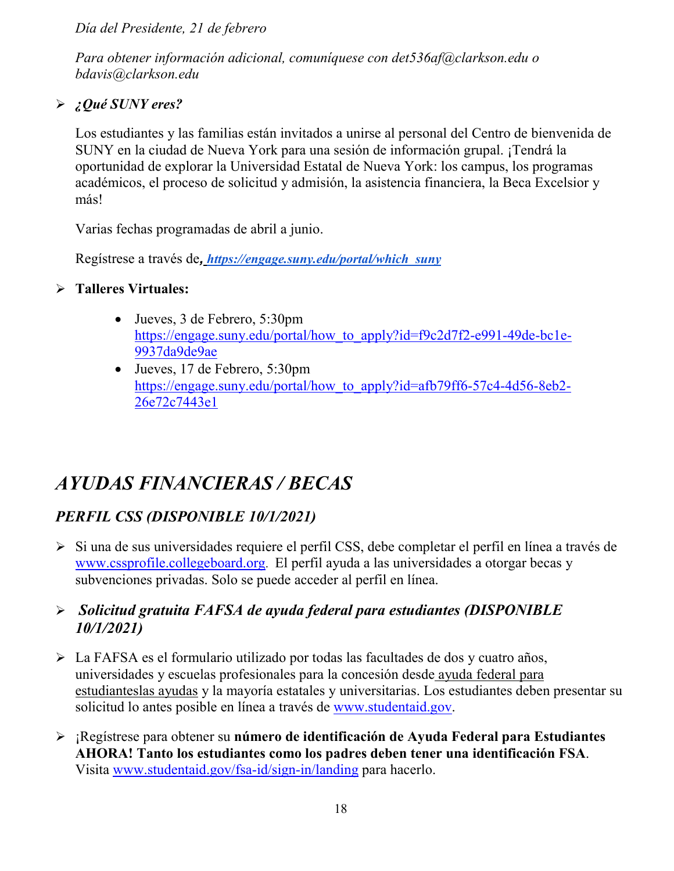*Día del Presidente, 21 de febrero*

*Para obtener información adicional, comuníquese con det536af@clarkson.edu o bdavis@clarkson.edu*

# *¿Qué SUNY eres?*

Los estudiantes y las familias están invitados a unirse al personal del Centro de bienvenida de SUNY en la ciudad de Nueva York para una sesión de información grupal. ¡Tendrá la oportunidad de explorar la Universidad Estatal de Nueva York: los campus, los programas académicos, el proceso de solicitud y admisión, la asistencia financiera, la Beca Excelsior y más!

Varias fechas programadas de abril a junio.

Regístrese a través de*, [https://engage.suny.edu/portal/which\\_suny](https://engage.suny.edu/portal/which_suny)*

# **Talleres Virtuales:**

- Jueves, 3 de Febrero, 5:30pm [https://engage.suny.edu/portal/how\\_to\\_apply?id=f9c2d7f2-e991-49de-bc1e-](https://engage.suny.edu/portal/how_to_apply?id=f9c2d7f2-e991-49de-bc1e-9937da9de9ae)[9937da9de9ae](https://engage.suny.edu/portal/how_to_apply?id=f9c2d7f2-e991-49de-bc1e-9937da9de9ae)
- Jueves, 17 de Febrero, 5:30pm [https://engage.suny.edu/portal/how\\_to\\_apply?id=afb79ff6-57c4-4d56-8eb2-](https://engage.suny.edu/portal/how_to_apply?id=afb79ff6-57c4-4d56-8eb2-26e72c7443e1) [26e72c7443e1](https://engage.suny.edu/portal/how_to_apply?id=afb79ff6-57c4-4d56-8eb2-26e72c7443e1)

# *AYUDAS FINANCIERAS / BECAS*

# *PERFIL CSS (DISPONIBLE 10/1/2021)*

 Si una de sus universidades requiere el perfil CSS, debe completar el perfil en línea a través d[e](http://www.collegeboard.org/) [www.cssprofile.collegeboard.org.](http://www.collegeboard.org/) El perfil ayuda a las universidades a otorgar becas y subvenciones privadas. Solo se puede acceder al perfil en línea.

# *Solicitud gratuita FAFSA de ayuda federal para estudiantes (DISPONIBLE 10/1/2021)*

- La FAFSA es el formulario utilizado por todas las facultades de dos y cuatro años, universidades y escuelas profesionales para la concesión desde [ayuda federal para](http://studentaid.ed.gov/students/publications/student_guide/2010-2011/english/typesofFSA_grants.htm)  [estudianteslas ayudas](http://studentaid.ed.gov/students/publications/student_guide/2010-2011/english/typesofFSA_grants.htm) y la mayoría estatales y universitarias. Los estudiantes deben presentar su solicitud lo antes posible en línea a través de [www.studentaid.gov.](http://www.studentaid.gov/)
- ¡Regístrese para obtener su **número de identificación de Ayuda Federal para Estudiantes AHORA! Tanto los estudiantes como los padres deben tener una identificación FSA**. Visita [www.studentaid.gov/fsa-id/sign-in/landing](http://www.studentaid.gov/fsa-id/sign-in/landing) para hacerlo.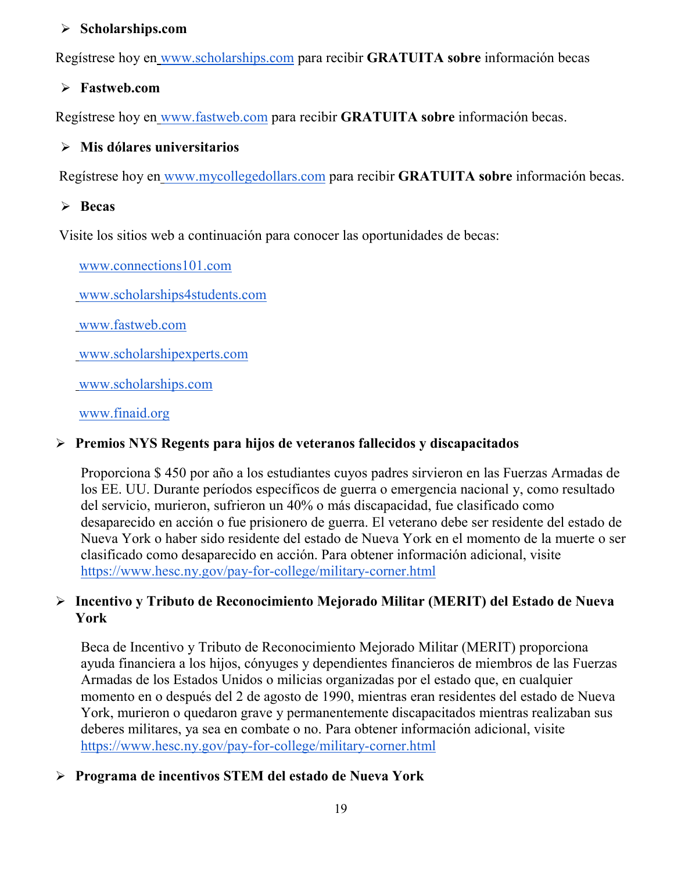#### **Scholarships.com**

Regístrese hoy en [www.scholarships.com](http://www.scholarships.com/) para recibir **GRATUITA sobre** información becas

#### **Fastweb.com**

Regístrese hoy en [www.fastweb.com](http://www.fastweb.com/) para recibir **GRATUITA sobre** información becas.

#### **Mis dólares universitarios**

Regístrese hoy en [www.mycollegedollars.com](http://www.mycollegedollars.com/) para recibir **GRATUITA sobre** información becas.

#### **Becas**

Visite los sitios web a continuación para conocer las oportunidades de becas:

[www.connections101.com](http://www.connections101.com/)

[www.scholarships4students.com](http://www.scholarships4students.com/)

[www.fastweb.com](http://www.fastweb.com/)

[www.scholarshipexperts.com](http://www.scholarshipexperts.com/)

[www.scholarships.com](http://www.scholarships.com/)

[www.finaid.org](http://www.finaid.org/)

#### **Premios NYS Regents para hijos de veteranos fallecidos y discapacitados**

Proporciona \$ 450 por año a los estudiantes cuyos padres sirvieron en las Fuerzas Armadas de los EE. UU. Durante períodos específicos de guerra o emergencia nacional y, como resultado del servicio, murieron, sufrieron un 40% o más discapacidad, fue clasificado como desaparecido en acción o fue prisionero de guerra. El veterano debe ser residente del estado de Nueva York o haber sido residente del estado de Nueva York en el momento de la muerte o ser clasificado como desaparecido en acción. Para obtener información adicional, visit[e](https://www.hesc.ny.gov/pay-for-college/military-corner.html) <https://www.hesc.ny.gov/pay-for-college/military-corner.html>

#### **Incentivo y Tributo de Reconocimiento Mejorado Militar (MERIT) del Estado de Nueva York**

Beca de Incentivo y Tributo de Reconocimiento Mejorado Militar (MERIT) proporciona ayuda financiera a los hijos, cónyuges y dependientes financieros de miembros de las Fuerzas Armadas de los Estados Unidos o milicias organizadas por el estado que, en cualquier momento en o después del 2 de agosto de 1990, mientras eran residentes del estado de Nueva York, murieron o quedaron grave y permanentemente discapacitados mientras realizaban sus deberes militares, ya sea en combate o no. Para obtener información adicional, visit[e](https://www.hesc.ny.gov/pay-for-college/military-corner.html) <https://www.hesc.ny.gov/pay-for-college/military-corner.html>

# **Programa de incentivos STEM del estado de Nueva York**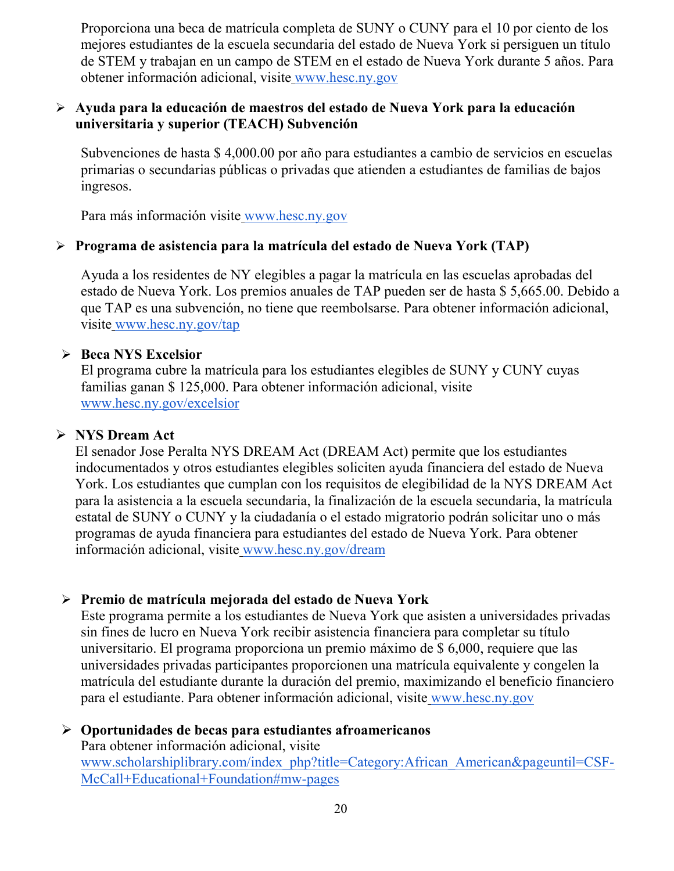Proporciona una beca de matrícula completa de SUNY o CUNY para el 10 por ciento de los mejores estudiantes de la escuela secundaria del estado de Nueva York si persiguen un título de STEM y trabajan en un campo de STEM en el estado de Nueva York durante 5 años. Para obtener información adicional, visite [www.hesc.ny.gov](http://www.hesc.ny.gov/)

#### **Ayuda para la educación de maestros del estado de Nueva York para la educación universitaria y superior (TEACH) Subvención**

Subvenciones de hasta \$ 4,000.00 por año para estudiantes a cambio de servicios en escuelas primarias o secundarias públicas o privadas que atienden a estudiantes de familias de bajos ingresos.

Para más información visite [www.hesc.ny.gov](http://www.hesc.ny.gov/) 

#### **Programa de asistencia para la matrícula del estado de Nueva York (TAP)**

Ayuda a los residentes de NY elegibles a pagar la matrícula en las escuelas aprobadas del estado de Nueva York. Los premios anuales de TAP pueden ser de hasta \$ 5,665.00. Debido a que TAP es una subvención, no tiene que reembolsarse. Para obtener información adicional, visite [www.hesc.ny.gov/tap](http://www.hesc.ny.gov/tap)

#### **Beca NYS Excelsior**

El programa cubre la matrícula para los estudiantes elegibles de SUNY y CUNY cuyas familias ganan \$ 125,000. Para obtener información adicional, visit[e](http://www.hesc.ny.gov/) [www.hesc.ny.gov/](http://www.hesc.ny.gov/)excelsior

#### **NYS Dream Act**

El senador Jose Peralta NYS DREAM Act (DREAM Act) permite que los estudiantes indocumentados y otros estudiantes elegibles soliciten ayuda financiera del estado de Nueva York. Los estudiantes que cumplan con los requisitos de elegibilidad de la NYS DREAM Act para la asistencia a la escuela secundaria, la finalización de la escuela secundaria, la matrícula estatal de SUNY o CUNY y la ciudadanía o el estado migratorio podrán solicitar uno o más programas de ayuda financiera para estudiantes del estado de Nueva York. Para obtener información adicional, visite [www.hesc.ny.gov/dream](http://www.hesc.ny.gov/dream)

# **Premio de matrícula mejorada del estado de Nueva York**

Este programa permite a los estudiantes de Nueva York que asisten a universidades privadas sin fines de lucro en Nueva York recibir asistencia financiera para completar su título universitario. El programa proporciona un premio máximo de \$ 6,000, requiere que las universidades privadas participantes proporcionen una matrícula equivalente y congelen la matrícula del estudiante durante la duración del premio, maximizando el beneficio financiero para el estudiante. Para obtener información adicional, visite [www.hesc.ny.gov](http://www.hesc.ny.gov/)

#### **Oportunidades de becas para estudiantes afroamericanos** Para obtener información adicional, visit[e](http://www.scholarshiplibrary.com/index_php?title=Category:African_American&pageuntil=CSF-McCall+Educational+Foundation#mw-pages) [www.scholarshiplibrary.com/index\\_php?title=Category:African\\_American&pageuntil=CSF-](http://www.scholarshiplibrary.com/index_php?title=Category:African_American&pageuntil=CSF-McCall+Educational+Foundation#mw-pages)[McCall+Educational+Foundation#mw-pages](http://www.scholarshiplibrary.com/index_php?title=Category:African_American&pageuntil=CSF-McCall+Educational+Foundation#mw-pages)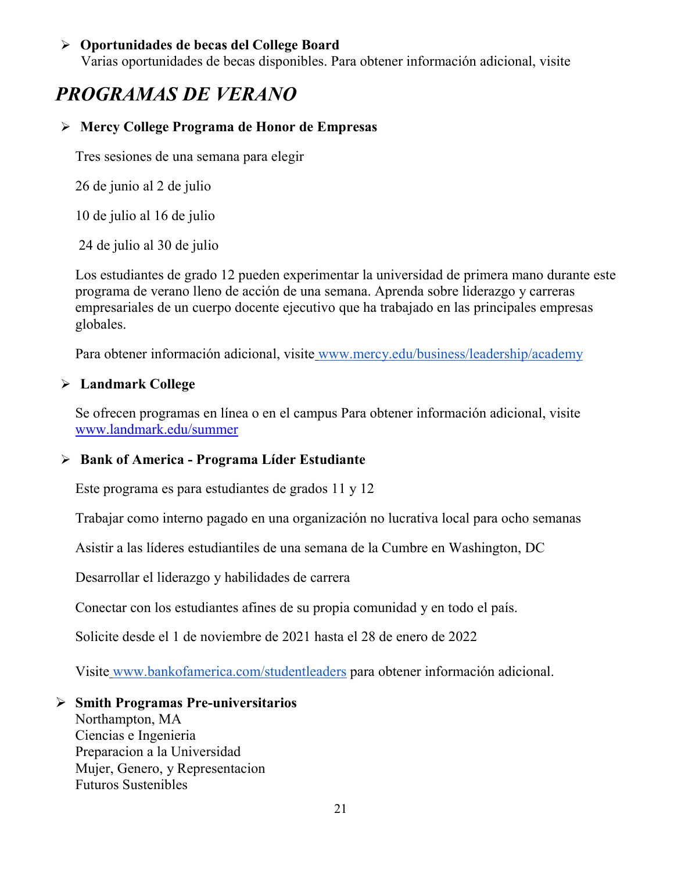#### **Oportunidades de becas del College Board**

Varias oportunidades de becas disponibles. Para obtener información adicional, visite

# *PROGRAMAS DE VERANO*

#### **Mercy College Programa de Honor de Empresas**

Tres sesiones de una semana para elegir

26 de junio al 2 de julio

10 de julio al 16 de julio

24 de julio al 30 de julio

Los estudiantes de grado 12 pueden experimentar la universidad de primera mano durante este programa de verano lleno de acción de una semana. Aprenda sobre liderazgo y carreras empresariales de un cuerpo docente ejecutivo que ha trabajado en las principales empresas globales.

Para obtener información adicional, visite [www.mercy.edu/business/leadership/academy](http://www.mercy.edu/business/leadership/academy)

# **Landmark College**

Se ofrecen programas en línea o en el campus Para obtener información adicional, visite www.landmark.edu/summer

# **Bank of America - Programa Líder Estudiante**

Este programa es para estudiantes de grados 11 y 12

Trabajar como interno pagado en una organización no lucrativa local para ocho semanas

Asistir a las líderes estudiantiles de una semana de la Cumbre en Washington, DC

Desarrollar el liderazgo y habilidades de carrera

Conectar con los estudiantes afines de su propia comunidad y en todo el país.

Solicite desde el 1 de noviembre de 2021 hasta el 28 de enero de 2022

Visite [www.bankofamerica.com/studentleaders](http://www.bankofamerica.com/studentleaders) para obtener información adicional.

#### **Smith Programas Pre-universitarios**

Northampton, MA Ciencias e Ingenieria Preparacion a la Universidad Mujer, Genero, y Representacion Futuros Sustenibles